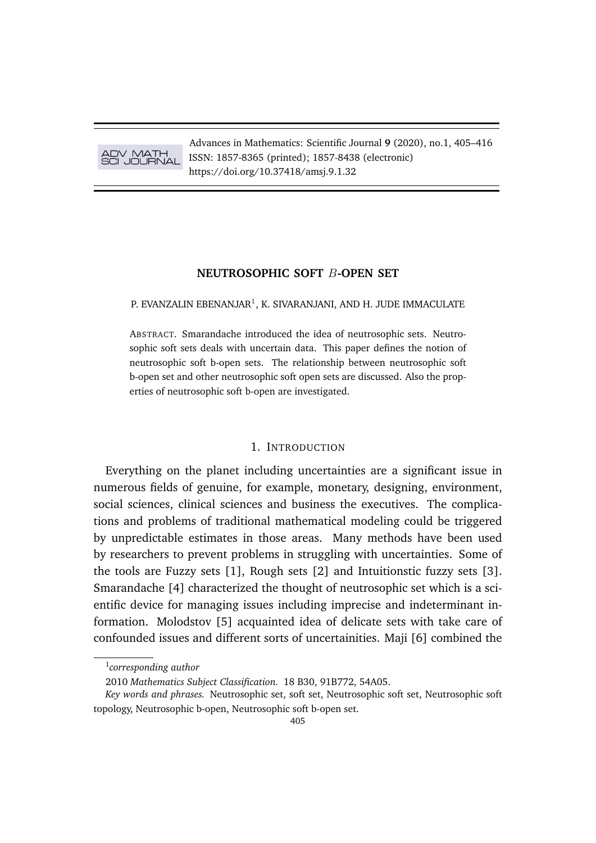ADV MATH SCI JOURNAL

Advances in Mathematics: Scientific Journal **9** (2020), no.1, 405–416 ISSN: 1857-8365 (printed); 1857-8438 (electronic) https://doi.org/10.37418/amsj.9.1.32

## **NEUTROSOPHIC SOFT** B**-OPEN SET**

P. EVANZALIN EBENANJAR<sup>1</sup>, K. SIVARANJANI, AND H. JUDE IMMACULATE

ABSTRACT. Smarandache introduced the idea of neutrosophic sets. Neutrosophic soft sets deals with uncertain data. This paper defines the notion of neutrosophic soft b-open sets. The relationship between neutrosophic soft b-open set and other neutrosophic soft open sets are discussed. Also the properties of neutrosophic soft b-open are investigated.

## 1. INTRODUCTION

Everything on the planet including uncertainties are a significant issue in numerous fields of genuine, for example, monetary, designing, environment, social sciences, clinical sciences and business the executives. The complications and problems of traditional mathematical modeling could be triggered by unpredictable estimates in those areas. Many methods have been used by researchers to prevent problems in struggling with uncertainties. Some of the tools are Fuzzy sets [1], Rough sets [2] and Intuitionstic fuzzy sets [3]. Smarandache [4] characterized the thought of neutrosophic set which is a scientific device for managing issues including imprecise and indeterminant information. Molodstov [5] acquainted idea of delicate sets with take care of confounded issues and different sorts of uncertainities. Maji [6] combined the

<sup>1</sup> *corresponding author*

<sup>2010</sup> *Mathematics Subject Classification.* 18 B30, 91B772, 54A05.

*Key words and phrases.* Neutrosophic set, soft set, Neutrosophic soft set, Neutrosophic soft topology, Neutrosophic b-open, Neutrosophic soft b-open set.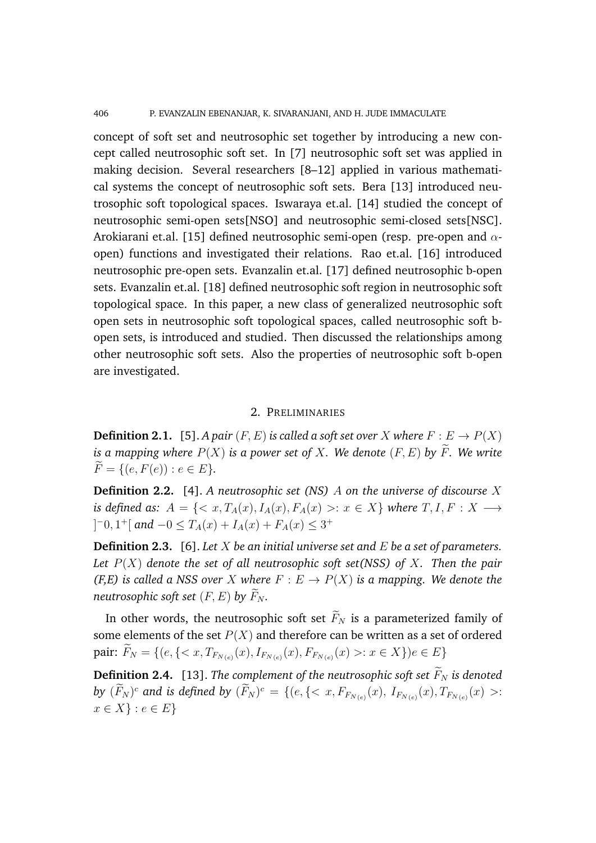406 P. EVANZALIN EBENANJAR, K. SIVARANJANI, AND H. JUDE IMMACULATE

concept of soft set and neutrosophic set together by introducing a new concept called neutrosophic soft set. In [7] neutrosophic soft set was applied in making decision. Several researchers [8–12] applied in various mathematical systems the concept of neutrosophic soft sets. Bera [13] introduced neutrosophic soft topological spaces. Iswaraya et.al. [14] studied the concept of neutrosophic semi-open sets[NSO] and neutrosophic semi-closed sets[NSC]. Arokiarani et.al. [15] defined neutrosophic semi-open (resp. pre-open and  $\alpha$ open) functions and investigated their relations. Rao et.al. [16] introduced neutrosophic pre-open sets. Evanzalin et.al. [17] defined neutrosophic b-open sets. Evanzalin et.al. [18] defined neutrosophic soft region in neutrosophic soft topological space. In this paper, a new class of generalized neutrosophic soft open sets in neutrosophic soft topological spaces, called neutrosophic soft bopen sets, is introduced and studied. Then discussed the relationships among other neutrosophic soft sets. Also the properties of neutrosophic soft b-open are investigated.

# 2. PRELIMINARIES

**Definition 2.1.** [5]. *A pair*  $(F, E)$  *is called a soft set over* X *where*  $F : E \to P(X)$ *is a mapping where*  $P(X)$  *is a power set of* X. We denote  $(F, E)$  by  $\widetilde{F}$ . We write  $\widetilde{F} = \{(e, F(e)) : e \in E\}.$ 

**Definition 2.2.** [4]. *A neutrosophic set (NS)* A *on the universe of discourse* X *is defined as:*  $A = \{ \langle x, T_A(x), I_A(x), F_A(x) \rangle : x \in X \}$  *where*  $T, I, F : X \longrightarrow$  $]-0,1^+[$  *and*  $-0 \le T_A(x) + I_A(x) + F_A(x) \le 3^+$ 

**Definition 2.3.** [6]. *Let* X *be an initial universe set and* E *be a set of parameters. Let* P(X) *denote the set of all neutrosophic soft set(NSS) of* X*. Then the pair (F,E) is called a NSS over* X *where*  $F : E \to P(X)$  *is a mapping. We denote the neutrosophic soft set*  $(F, E)$  *by*  $\widetilde{F}_N$ *.* 

In other words, the neutrosophic soft set  $\widetilde{F}_N$  is a parameterized family of some elements of the set  $P(X)$  and therefore can be written as a set of ordered pair:  $F_N = \{(e, \{ : x \in X\}) e \in E\}$ 

**Definition 2.4.** [13]. *The complement of the neutrosophic soft set*  $\widetilde{F}_N$  *is denoted by*  $(F_N)^c$  and is defined by  $(F_N)^c = \{ (e, \{<\,x, F_{F_{N(e)}}(x), I_{F_{N(e)}}(x), T_{F_{N(e)}}(x) > :$  $x \in X$  :  $e \in E$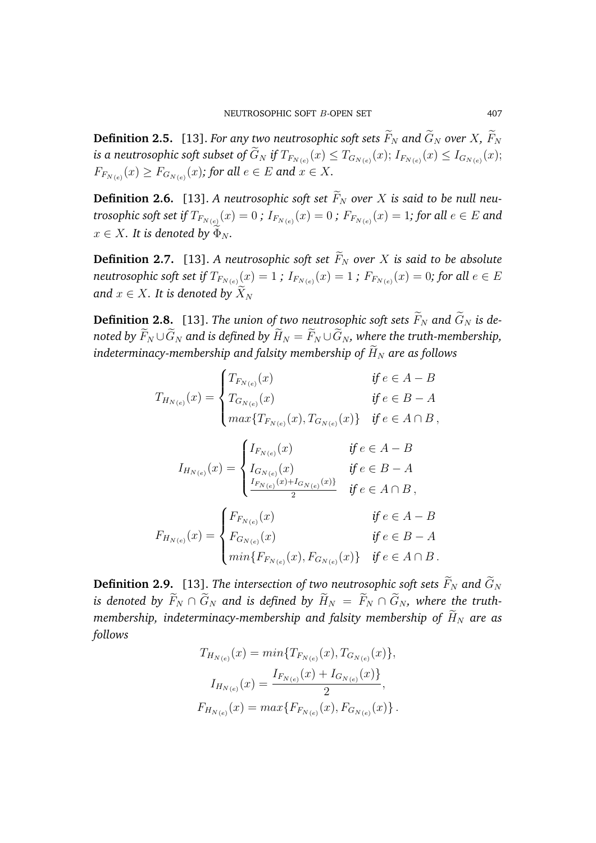**Definition 2.5.** [13]. *For any two neutrosophic soft sets*  $\widetilde{F}_N$  *and*  $\widetilde{G}_N$  *over*  $X$ *,*  $\widetilde{F}_N$ is a neutrosophic soft subset of  $G_N$  if  $T_{F_{N(e)}}(x)\leq T_{G_{N(e)}}(x);$   $I_{F_{N(e)}}(x)\leq I_{G_{N(e)}}(x);$  $F_{F_{N(e)}}(x) \geq F_{G_{N(e)}}(x)$ ; for all  $e \in E$  and  $x \in X$ .

**Definition 2.6.** [13]. A neutrosophic soft set  $\widetilde{F}_N$  over X is said to be null neu $t$ rosophic soft set if  $T_{F_{N(e)}}(x)=0$  ;  $I_{F_{N(e)}}(x)=0$  ;  $F_{F_{N(e)}}(x)=1$ ; for all  $e\in E$  and  $x \in X$ *. It is denoted by*  $\Phi_N$ *.* 

**Definition 2.7.** [13]. A neutrosophic soft set  $\widetilde{F}_N$  over X is said to be absolute  $neutrosophic$  soft set if  $T_{F_{N(e)}}(x)=1$  ;  $I_{F_{N(e)}}(x)=1$  ;  $F_{F_{N(e)}}(x)=0$ ; for all  $e\in E$ *and*  $x \in X$ *. It is denoted by*  $\widetilde{X}_N$ 

**Definition 2.8.** [13]. *The union of two neutrosophic soft sets*  $\widetilde{F}_N$  and  $\widetilde{G}_N$  *is denoted by*  $\widetilde{F}_N \cup \widetilde{G}_N$  and is defined by  $\widetilde{H}_N = \widetilde{F}_N \cup \widetilde{G}_N$ , where the truth-membership, *indeterminacy-membership and falsity membership of*  $\widetilde{H}_N$  are as follows

$$
T_{H_{N(e)}}(x) = \begin{cases} T_{F_{N(e)}}(x) & \text{if } e \in A - B \\ T_{G_{N(e)}}(x) & \text{if } e \in B - A \\ \max\{T_{F_{N(e)}}(x), T_{G_{N(e)}}(x)\} & \text{if } e \in A \cap B, \end{cases}
$$

$$
I_{H_{N(e)}}(x) = \begin{cases} I_{F_{N(e)}}(x) & \text{if } e \in A - B \\ I_{G_{N(e)}}(x) & \text{if } e \in B - A \\ \frac{I_{F_{N(e)}}(x) + I_{G_{N(e)}}(x)}{2} & \text{if } e \in A \cap B, \end{cases}
$$

$$
F_{H_{N(e)}}(x) = \begin{cases} F_{F_{N(e)}}(x) & \text{if } e \in A - B \\ F_{G_{N(e)}}(x) & \text{if } e \in A - B \\ \min\{F_{F_{N(e)}}(x), F_{G_{N(e)}}(x)\} & \text{if } e \in B - A \\ \min\{F_{F_{N(e)}}(x), F_{G_{N(e)}}(x)\} & \text{if } e \in A \cap B. \end{cases}
$$

**Definition 2.9.** [13]. *The intersection of two neutrosophic soft sets*  $\widetilde{F}_N$  and  $\widetilde{G}_N$ *is denoted by*  $\widetilde{F}_N \cap \widetilde{G}_N$  and *is defined by*  $\widetilde{H}_N = \widetilde{F}_N \cap \widetilde{G}_N$ *, where the truthmembership, indeterminacy-membership and falsity membership of*  $\widetilde{H}_N$  *are as follows*

$$
T_{H_{N(e)}}(x) = min\{T_{F_{N(e)}}(x), T_{G_{N(e)}}(x)\},
$$
  
\n
$$
I_{H_{N(e)}}(x) = \frac{I_{F_{N(e)}}(x) + I_{G_{N(e)}}(x)\}}{2},
$$
  
\n
$$
F_{H_{N(e)}}(x) = max\{F_{F_{N(e)}}(x), F_{G_{N(e)}}(x)\}.
$$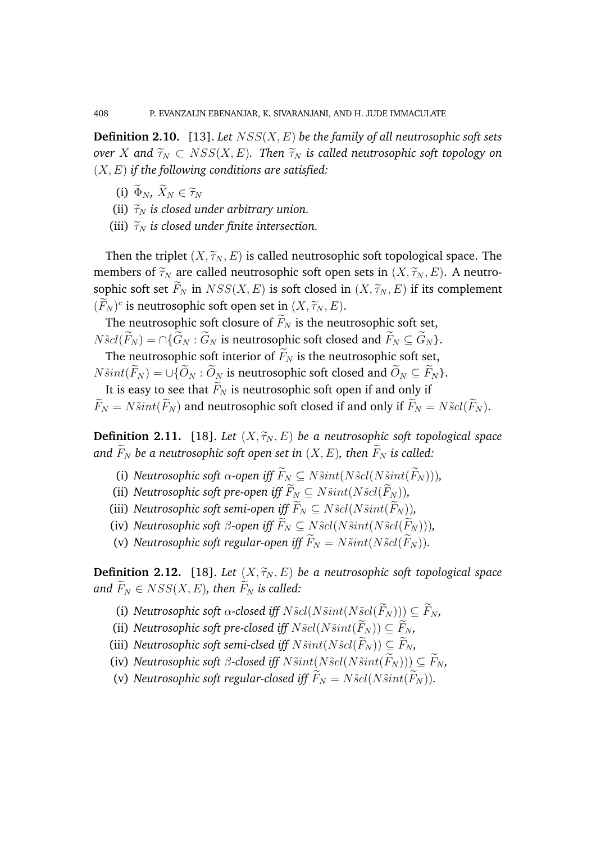**Definition 2.10.** [13]. *Let* NSS(X, E) *be the family of all neutrosophic soft sets over* X and  $\widetilde{\tau}_N \subset \text{NSS}(X, E)$ *. Then*  $\widetilde{\tau}_N$  *is called neutrosophic soft topology on* (X, E) *if the following conditions are satisfied:*

- (i)  $\widetilde{\Phi}_N$ ,  $\widetilde{X}_N \in \widetilde{\tau}_N$
- (ii)  $\tilde{\tau}_N$  *is closed under arbitrary union.*
- (iii)  $\widetilde{\tau}_N$  *is closed under finite intersection.*

Then the triplet  $(X, \widetilde{\tau}_N, E)$  is called neutrosophic soft topological space. The members of  $\widetilde{\tau}_N$  are called neutrosophic soft open sets in  $(X, \widetilde{\tau}_N, E)$ . A neutrosophic soft set  $\widetilde{F}_N$  in  $NSS(X, E)$  is soft closed in  $(X, \widetilde{\tau}_N, E)$  if its complement  $(\widetilde{F}_N)^c$  is neutrosophic soft open set in  $(X, \widetilde{\tau}_N, E)$ .

The neutrosophic soft closure of  $\widetilde{F}_N$  is the neutrosophic soft set,  $N\tilde{s}cl(\widetilde{F}_N ) = \bigcap \{ \widetilde{G}_N : \widetilde{G}_N \text{ is neutrosophic soft closed and } \widetilde{F}_N \subseteq \widetilde{G}_N \}.$ 

The neutrosophic soft interior of  $\widetilde{F}_N$  is the neutrosophic soft set,  $N\tilde{s}int(\widetilde{F}_N ) = \cup \{ \widetilde{O}_N : \widetilde{O}_N \text{ is neutrosophic soft closed and } \widetilde{O}_N \subseteq \widetilde{F}_N \}.$ 

It is easy to see that  $\widetilde{F}_N$  is neutrosophic soft open if and only if  $\widetilde{F}_N = N\widetilde{s}int(\widetilde{F}_N )$  and neutrosophic soft closed if and only if  $\widetilde{F}_N = N\widetilde{s}cl(\widetilde{F}_N ).$ 

**Definition 2.11.** [18]. *Let*  $(X, \tilde{\tau}_N, E)$  *be a neutrosophic soft topological space* and  $F_N$  be a neutrosophic soft open set in  $(X, E)$ , then  $F_N$  is called:

- (i) *Neutrosophic soft*  $\alpha$ -open iff  $\widetilde{F}_N \subseteq N\widetilde{s}int(N\widetilde{s}cl(N\widetilde{s}int(\widetilde{F}_N))),$
- (ii) *Neutrosophic soft pre-open iff*  $\widetilde{F}_N \subseteq N\widetilde{s}int(N\widetilde{s}cl(\widetilde{F}_N))$ *,*
- (iii) *Neutrosophic soft semi-open iff*  $\widetilde{F}_N \subset N\tilde{S}cl(N\tilde{S}int(\widetilde{F}_N))$ ,
- (iv) *Neutrosophic soft*  $\beta$ -open iff  $\widetilde{F}_N \subseteq N\widetilde{S}cl(N\widetilde{S}int(N\widetilde{S}cl(\widetilde{F}_N))),$
- (v) *Neutrosophic soft regular-open iff*  $\widetilde{F}_N = N \widetilde{s} int(N \widetilde{s} cl(\widetilde{F}_N)).$

**Definition 2.12.** [18]. *Let*  $(X, \widetilde{\tau}_N, E)$  *be a neutrosophic soft topological space and*  $\widetilde{F}_N \in NSS(X, E)$ *, then*  $\widetilde{F}_N$  *is called:* 

- (i) *Neutrosophic soft*  $\alpha$ -closed iff  $N\tilde{S}cl(N\tilde{S}int(N\tilde{S}cl(\tilde{F}_N))) \subseteq \tilde{F}_N$ ,
- (ii) *Neutrosophic soft pre-closed iff*  $N\tilde{g}cl(N\tilde{s}int(\tilde{F}_N)) \subseteq \tilde{F}_N$ ,
- (iii) *Neutrosophic soft semi-clsed iff*  $N\tilde{s}int(N\tilde{s}cl(\tilde{F}_N)) \subseteq \tilde{F}_N$ ,
- (iv) *Neutrosophic soft*  $\beta$ -closed iff  $N\tilde{\nu}$  ( $N\tilde{\nu}$   $(N\tilde{\nu}$   $(N\tilde{\nu}$   $(nK_N))$ )  $\subseteq$   $\widetilde{F}_N$ ,
- (v) *Neutrosophic soft regular-closed iff*  $\widetilde{F}_N = N \widetilde{S} cl(N \widetilde{S} int(\widetilde{F}_N))$ .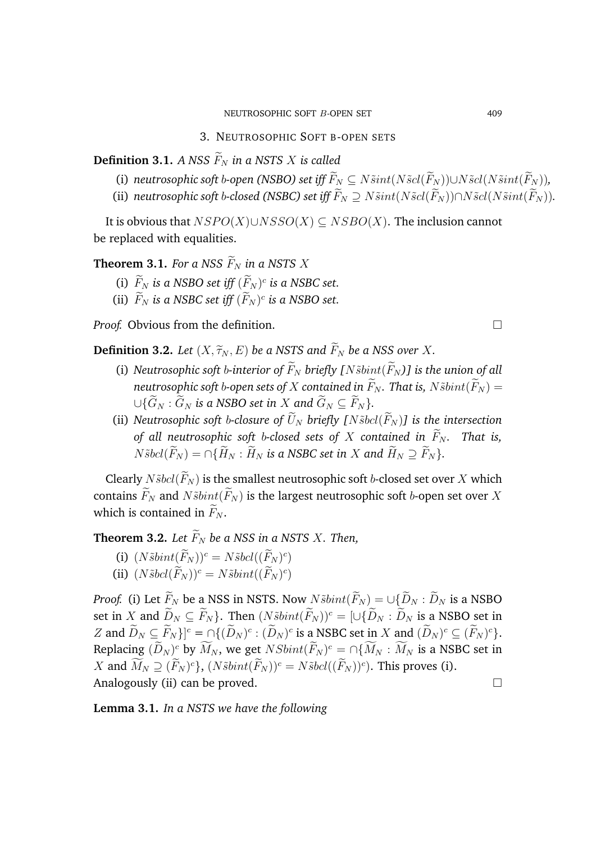**Definition 3.1.** *A NSS*  $\widetilde{F}_N$  *in a NSTS X is called* 

- (i) *neutrosophic soft* b-open (NSBO) set iff  $\widetilde{F}_N \subseteq N\widetilde{s}int(N\widetilde{s}cl(\widetilde{F}_N))\cup N\widetilde{s}cl(N\widetilde{s}int(\widetilde{F}_N))$ ,
- (ii) *neutrosophic soft b-closed (NSBC) set iff*  $\widetilde{F}_N \supset N \widetilde{sint}(N \widetilde{scl}(\widetilde{F}_N)) \cap N \widetilde{scl}(N \widetilde{sint}(\widetilde{F}_N))$ .

It is obvious that  $NSPO(X) \cup NSSO(X) \subseteq NSBO(X)$ . The inclusion cannot be replaced with equalities.

**Theorem 3.1.** For a NSS  $\widetilde{F}_N$  in a NSTS X

- (i)  $\overline{F}_N$  *is a NSBO set iff*  $(F_N)^c$  *is a NSBC set.*
- (ii)  $\tilde{F}_N$  is a NSBC set iff  $(\tilde{F}_N)^c$  is a NSBO set.

*Proof.* Obvious from the definition. □

**Definition 3.2.** *Let*  $(X, \widetilde{\tau}_N, E)$  *be a NSTS and*  $\widetilde{F}_N$  *be a NSS over* X.

- (i) *Neutrosophic soft b-interior of*  $\widetilde{F}_N$  *briefly*  $[N \widetilde{b} \widetilde{b} \widetilde{m} \widetilde{b} \widetilde{m}]$  *is the union of all neutrosophic soft b-open sets of* X *contained in*  $\widetilde{F}_N$ *. That is,*  $N\widetilde{s}bint(\widetilde{F}_N)$  =  $\cup \{ \widetilde{G}_N : \widetilde{G}_N \text{ is a NSBO set in } X \text{ and } \widetilde{G}_N \subseteq \widetilde{F}_N \}.$
- (ii) *Neutrosophic soft b-closure of*  $\widetilde{U}_N$  *briefly* [*N* $\widetilde{S}$ *bcl*( $\widetilde{F}_N$ )] *is the intersection of all neutrosophic soft b-closed sets of*  $X$  *contained in*  $\widetilde{F}_N$ *. That is,*  $N\tilde{s}bel(\widetilde{F}_N) = \bigcap \{\widetilde{H}_N : \widetilde{H}_N \text{ is a NSBC set in } X \text{ and } \widetilde{H}_N \supseteq \widetilde{F}_N \}.$

Clearly  $N\tilde{s}bel(\widetilde{F}_N)$  is the smallest neutrosophic soft b-closed set over X which contains  $\widetilde{F}_N$  and  $N\widetilde{s}bint(\widetilde{F}_N)$  is the largest neutrosophic soft b-open set over X which is contained in  $\widetilde{F}_N$ .

**Theorem 3.2.** *Let*  $\widetilde{F}_N$  *be a NSS in a NSTS X. Then,* 

(i)  $(N\tilde{s}bint(\overline{F}_N))^c = N\tilde{s}bcl((\overline{F}_N)^c)$ (ii)  $(N\tilde{s}bcl(\tilde{F}_N))^c = N\tilde{s}bint((\tilde{F}_N)^c)$ 

*Proof.* (i) Let  $\widetilde{F}_N$  be a NSS in NSTS. Now  $N\widetilde{s}bint(\widetilde{F}_N) = \bigcup \{ \widetilde{D}_N : \widetilde{D}_N \text{ is a NSBO} \}$ set in X and  $\widetilde{D}_N \subseteq \widetilde{F}_N$ . Then  $(N\widetilde{S}bint(\widetilde{F}_N))^c = [\cup \{ \widetilde{D}_N : \widetilde{D}_N \text{ is a NSBO set in } \mathbb{R}\})$ Z and  $D_N \subseteq F_N$ }<sup> $]$ c</sup> =  $\bigcap \{ (D_N)^c : (D_N)^c$  is a NSBC set in X and  $(D_N)^c \subseteq (F_N)^c$ . Replacing  $(D_N)^c$  by  $M_N$ , we get  $NSbint (F_N)^c = \bigcap \{M_N : M_N \text{ is a NSBC set in } \}$ X and  $\tilde{M}_N \supseteq (\tilde{F}_N)^c$ ,  $(N\tilde{s}bint(\tilde{F}_N))^c = N\tilde{s}bel((\tilde{F}_N))^c$ . This proves (i). Analogously (ii) can be proved.

**Lemma 3.1.** *In a NSTS we have the following*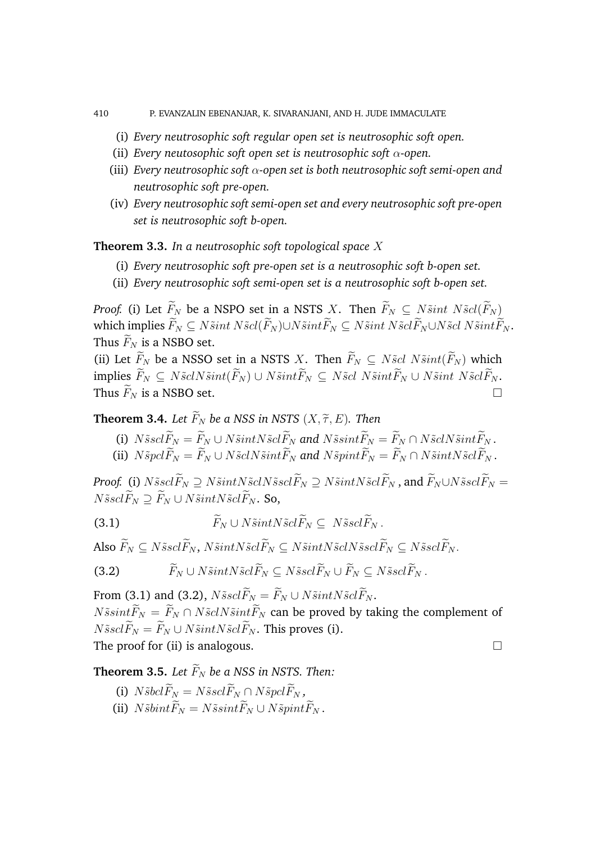- 
- 410 P. EVANZALIN EBENANJAR, K. SIVARANJANI, AND H. JUDE IMMACULATE
	- (i) *Every neutrosophic soft regular open set is neutrosophic soft open.*
	- (ii) *Every neutosophic soft open set is neutrosophic soft* α*-open.*
	- (iii) *Every neutrosophic soft* α*-open set is both neutrosophic soft semi-open and neutrosophic soft pre-open.*
	- (iv) *Every neutrosophic soft semi-open set and every neutrosophic soft pre-open set is neutrosophic soft b-open.*

**Theorem 3.3.** *In a neutrosophic soft topological space* X

- (i) *Every neutrosophic soft pre-open set is a neutrosophic soft b-open set.*
- (ii) *Every neutrosophic soft semi-open set is a neutrosophic soft b-open set.*

*Proof.* (i) Let  $\widetilde{F}_N$  be a NSPO set in a NSTS X. Then  $\widetilde{F}_N \subseteq N \widetilde{s}$ *int*  $N \widetilde{s}$ *cl*( $\widetilde{F}_N$ ) which implies  $\widetilde{F}_N \subseteq N \widetilde{s}$ int  $N \widetilde{s}cl(\widetilde{F}_N) \cup N \widetilde{s}$ int $\widetilde{F}_N \subseteq N \widetilde{s}$ int  $N \widetilde{s}cl(\widetilde{F}_N \cup N \widetilde{s}cl N \widetilde{s}$ int $\widetilde{F}_N$ . Thus  $\widetilde{F}_N$  is a NSBO set.

(ii) Let  $\widetilde{F}_N$  be a NSSO set in a NSTS X. Then  $\widetilde{F}_N \subseteq N \tilde{s}cl N \tilde{s} int(\widetilde{F}_N)$  which implies  $\widetilde{F}_N \subseteq N\widetilde{s}clN\widetilde{s}int(\widetilde{F}_N) \cup N\widetilde{s}int\widetilde{F}_N \subseteq N\widetilde{s}cl N\widetilde{s}int\widetilde{F}_N \cup N\widetilde{s}int N\widetilde{s}cl\widetilde{F}_N.$ Thus  $\widetilde{F}_N$  is a NSBO set.

**Theorem 3.4.** *Let*  $\widetilde{F}_N$  *be a NSS in NSTS*  $(X, \widetilde{\tau}, E)$ *. Then* 

- (i)  $N\tilde{s}sc\tilde{F}_N = \tilde{F}_N \cup N\tilde{s}intN\tilde{s}cl\tilde{F}_N$  and  $N\tilde{s}sint\tilde{F}_N = \tilde{F}_N \cap N\tilde{s}clN\tilde{s}int\tilde{F}_N$ .
- (ii)  $N\tilde{s}pcl\tilde{F}_N = \tilde{F}_N \cup N\tilde{s}clN\tilde{s}int\tilde{F}_N$  and  $N\tilde{s}pint\tilde{F}_N = \tilde{F}_N \cap N\tilde{s}intN\tilde{s}cl\tilde{F}_N$ .

*Proof.* (i)  $N\tilde{s}c\tilde{F}_N \supseteq N\tilde{s}intN\tilde{s}c\tilde{F}_N \supseteq N\tilde{s}intN\tilde{s}c\tilde{F}_N$ , and  $\tilde{F}_N \cup N\tilde{s}c\tilde{F}_N =$  $N\tilde{s}sc\tilde{F}_N \supseteq \tilde{F}_N \cup N\tilde{s}intN\tilde{s}cl\tilde{F}_N$ . So,

(3.1)  $\widetilde{F}_N \cup N\widetilde{s}intN\widetilde{s}cl\widetilde{F}_N \subset N\widetilde{s}scl\widetilde{F}_N$ .

Also  $\widetilde{F}_N \subseteq N\tilde{s}sch\widetilde{F}_N$ ,  $N\tilde{s}intN\tilde{s}cl\widetilde{F}_N \subseteq N\tilde{s}isl\widetilde{F}_N \subseteq N\tilde{s}sel\widetilde{F}_N$ .

(3.2) 
$$
\widetilde{F}_N \cup N\widetilde{s}int N\widetilde{s}cl\widetilde{F}_N \subseteq N\widetilde{s}cl\widetilde{F}_N \cup \widetilde{F}_N \subseteq N\widetilde{s}cl\widetilde{F}_N.
$$

From (3.1) and (3.2),  $N\tilde{s}sc\tilde{F}_N = \tilde{F}_N \cup N\tilde{s}intN\tilde{s}cl\tilde{F}_N$ .  $N\tilde{s}sint \widetilde{F}_N = \widetilde{F}_N \cap N\tilde{s}clN\tilde{s}int \widetilde{F}_N$  can be proved by taking the complement of  $N\tilde{s}sc\tilde{F}_N = \tilde{F}_N \cup N\tilde{s}intN\tilde{s}c\tilde{F}_N$ . This proves (i). The proof for (ii) is analogous.  $\Box$ 

**Theorem 3.5.** Let  $\widetilde{F}_N$  be a NSS in NSTS. Then:

- (i)  $N\tilde{s}bcl\widetilde{F}_N = N\tilde{s}scl\widetilde{F}_N \cap N\tilde{s}pcl\widetilde{F}_N$ ,
- (ii)  $N\tilde{s}bint\widetilde{F}_N = N\tilde{s}sint\widetilde{F}_N \cup N\tilde{s}pint\widetilde{F}_N$ .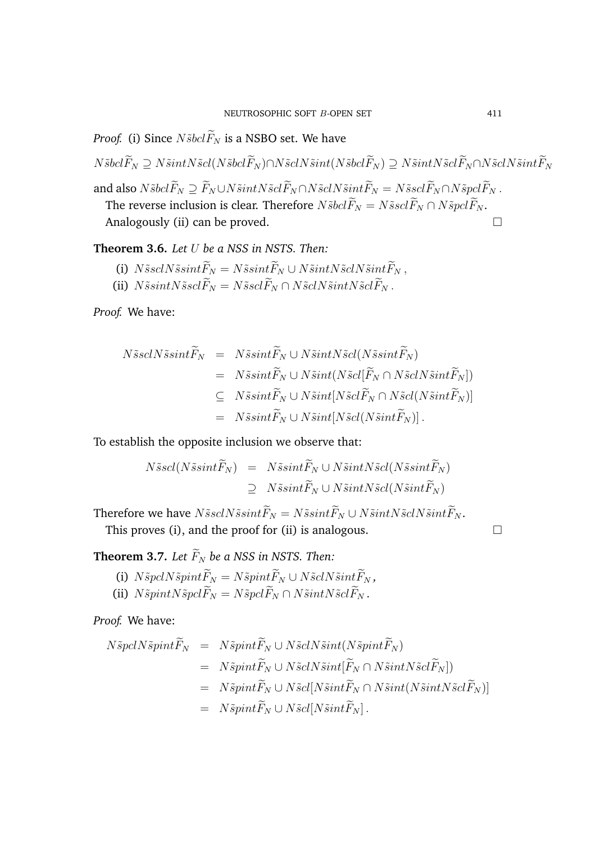*Proof.* (i) Since  $N\tilde{s}bcl\tilde{F}_N$  is a NSBO set. We have

 $N\tilde{s}bel\widetilde{F}_N \supseteq N\tilde{s}intN\tilde{s}cl(N\tilde{s}bel\widetilde{F}_N) \cap N\tilde{s}clN\tilde{s}int(N\tilde{s}bel\widetilde{F}_N) \supseteq N\tilde{s}intN\tilde{s}clN\tilde{s}int\widetilde{F}_N$ and also  $N\tilde{s}bcl\widetilde{F}_N\supseteq \widetilde{F}_N\cup N\tilde{s}c\widetilde{F}_N\cap N\tilde{s}c\widetilde{F}_N\cap N\tilde{s}c\widetilde{F}_N=N\tilde{s}scl\widetilde{F}_N\cap N\tilde{s}pc\widetilde{F}_N$  . The reverse inclusion is clear. Therefore  $N\tilde{s}bcl\widetilde{F}_N=N\tilde{s}scl\widetilde{F}_N\cap N\tilde{s}pcl\widetilde{F}_N.$ Analogously (ii) can be proved.

**Theorem 3.6.** *Let* U *be a NSS in NSTS. Then:*

- (i)  $N\tilde{s}scN\tilde{s}sint\tilde{F}_N=N\tilde{s}sint\tilde{F}_N\cup N\tilde{s}intN\tilde{s}cN\tilde{s}int\tilde{F}_N$ ,
- (ii)  $N\tilde{s}sintN\tilde{s}sc\tilde{F}_N = N\tilde{s}sc\tilde{F}_N \cap N\tilde{s}clN\tilde{s}intN\tilde{s}cl\tilde{F}_N$ .

*Proof.* We have:

$$
N\tilde{s}scN\tilde{s}sint\tilde{F}_N = N\tilde{s}sint\tilde{F}_N \cup N\tilde{s}intN\tilde{s}cl(N\tilde{s}sint\tilde{F}_N)
$$
  
\n
$$
= N\tilde{s}sint\tilde{F}_N \cup N\tilde{s}int(N\tilde{s}cl[\tilde{F}_N \cap N\tilde{s}clN\tilde{s}int\tilde{F}_N])
$$
  
\n
$$
\subseteq N\tilde{s}sint\tilde{F}_N \cup N\tilde{s}int[N\tilde{s}cl(\tilde{F}_N \cap N\tilde{s}cl(N\tilde{s}int\tilde{F}_N)]
$$
  
\n
$$
= N\tilde{s}sint\tilde{F}_N \cup N\tilde{s}int[N\tilde{s}cl(N\tilde{s}int\tilde{F}_N)].
$$

To establish the opposite inclusion we observe that:

$$
N\tilde{s}scl(N\tilde{s}sint\tilde{F}_N) = N\tilde{s}sint\tilde{F}_N \cup N\tilde{s}intN\tilde{s}cl(N\tilde{s}sint\tilde{F}_N)
$$
  
\n
$$
\supseteq N\tilde{s}sint\tilde{F}_N \cup N\tilde{s}intN\tilde{s}cl(N\tilde{s}int\tilde{F}_N)
$$

Therefore we have  $N\tilde{s}sclN\tilde{s}sint\tilde{F}_N=N\tilde{s}sint\tilde{F}_N\cup N\tilde{s}intN\tilde{s}clN\tilde{s}int\tilde{F}_N.$ 

This proves (i), and the proof for (ii) is analogous.  $\Box$ 

**Theorem 3.7.** Let  $\widetilde{F}_N$  be a NSS in NSTS. Then:

- (i)  $N\tilde{sp}clN\tilde{sp}int\tilde{F}_N=N\tilde{sp}int\tilde{F}_N\cup N\tilde{s}clN\tilde{s}int\tilde{F}_N$ ,
- (ii)  $N\tilde{s}pintN\tilde{s}pcl\widetilde{F}_N = N\tilde{s}pcl\widetilde{F}_N \cap N\tilde{s}intN\tilde{s}cl\widetilde{F}_N$ .

*Proof.* We have:

$$
N\tilde{sp}clN\tilde{sp}int\tilde{F}_N = N\tilde{sp}int\tilde{F}_N \cup N\tilde{s}clN\tilde{s}int(N\tilde{sp}int\tilde{F}_N)
$$
  
\n
$$
= N\tilde{s}pint\tilde{F}_N \cup N\tilde{s}clN\tilde{s}int[\tilde{F}_N \cap N\tilde{s}intN\tilde{s}cl\tilde{F}_N])
$$
  
\n
$$
= N\tilde{s}pint\tilde{F}_N \cup N\tilde{s}cl[N\tilde{s}int\tilde{F}_N \cap N\tilde{s}int(N\tilde{s}intN\tilde{s}cl\tilde{F}_N)]
$$
  
\n
$$
= N\tilde{s}pint\tilde{F}_N \cup N\tilde{s}cl[N\tilde{s}int\tilde{F}_N].
$$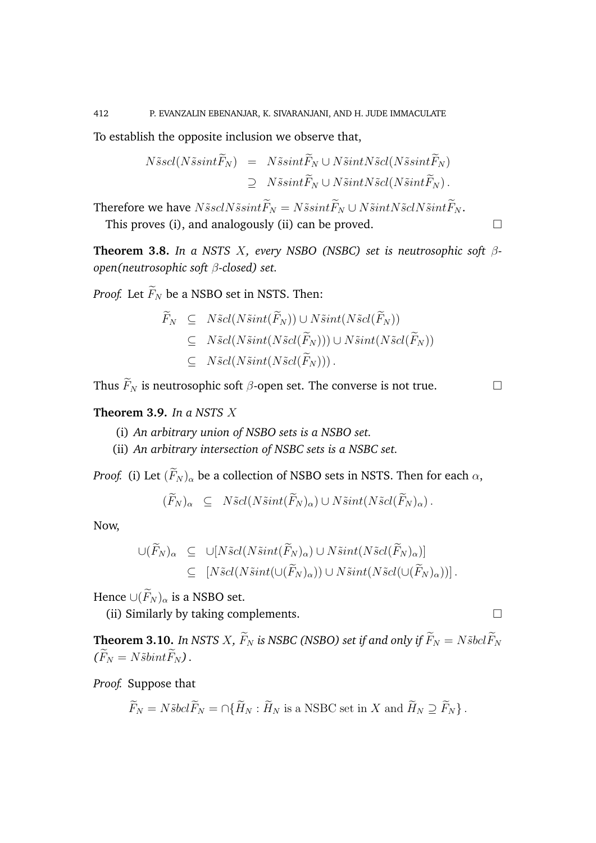To establish the opposite inclusion we observe that,

$$
N\tilde{s}scl(N\tilde{s}sint\tilde{F}_N) = N\tilde{s}sint\tilde{F}_N \cup N\tilde{s}intN\tilde{s}cl(N\tilde{s}sint\tilde{F}_N)
$$
  
\n
$$
\supseteq N\tilde{s}sint\tilde{F}_N \cup N\tilde{s}intN\tilde{s}cl(N\tilde{s}int\tilde{F}_N).
$$

Therefore we have  $N\tilde{s}scN\tilde{s}sint\tilde{F}_N=N\tilde{s}sint\tilde{F}_N\cup N\tilde{s}intN\tilde{s}clN\tilde{s}int\tilde{F}_N.$ 

This proves (i), and analogously (ii) can be proved.  $\Box$ 

**Theorem 3.8.** *In a NSTS* X*, every NSBO (NSBC) set is neutrosophic soft* β*open(neutrosophic soft* β*-closed) set.*

*Proof.* Let  $\widetilde{F}_N$  be a NSBO set in NSTS. Then:

$$
\widetilde{F}_N \subseteq N\tilde{s}cl(N\tilde{s}int(\widetilde{F}_N)) \cup N\tilde{s}int(N\tilde{s}cl(\widetilde{F}_N))
$$
\n
$$
\subseteq N\tilde{s}cl(N\tilde{s}int(N\tilde{s}cl(\widetilde{F}_N))) \cup N\tilde{s}int(N\tilde{s}cl(\widetilde{F}_N))
$$
\n
$$
\subseteq N\tilde{s}cl(N\tilde{s}int(N\tilde{s}cl(\widetilde{F}_N))).
$$

Thus  $\widetilde{F}_N$  is neutrosophic soft  $\beta$ -open set. The converse is not true.

# **Theorem 3.9.** *In a NSTS* X

- (i) *An arbitrary union of NSBO sets is a NSBO set.*
- (ii) *An arbitrary intersection of NSBC sets is a NSBC set.*

*Proof.* (i) Let  $(\widetilde{F}_N)_{\alpha}$  be a collection of NSBO sets in NSTS. Then for each  $\alpha$ ,

$$
(\overline{F}_N)_{\alpha} \subseteq N\tilde{s}cl(N\tilde{s}int(\overline{F}_N)_{\alpha}) \cup N\tilde{s}int(N\tilde{s}cl(\overline{F}_N)_{\alpha}).
$$

Now,

$$
\bigcup (\widetilde{F}_N)_{\alpha} \subseteq \bigcup [N\tilde{s}cl(N\tilde{s}int(\widetilde{F}_N)_{\alpha}) \cup N\tilde{s}int(N\tilde{s}cl(\widetilde{F}_N)_{\alpha})] \subseteq [N\tilde{s}cl(N\tilde{s}int(\bigcup (\widetilde{F}_N)_{\alpha})) \cup N\tilde{s}int(N\tilde{s}cl(\bigcup (\widetilde{F}_N)_{\alpha}))].
$$

Hence  $\cup(\widetilde{F}_N)_{\alpha}$  is a NSBO set.

(ii) Similarly by taking complements.

**Theorem 3.10.** *In NSTS X,*  $\widetilde{F}_N$  *is NSBC (NSBO) set if and only if*  $\widetilde{F}_N = N \widetilde{s} bcl \widetilde{F}_N$  $(\widetilde{F}_N = N\widetilde{s}bint\widetilde{F}_N)$ .

*Proof.* Suppose that

$$
\widetilde{F}_N = N \widetilde{s} bcl \widetilde{F}_N = \bigcap \{ \widetilde{H}_N : \widetilde{H}_N \text{ is a NSBC set in } X \text{ and } \widetilde{H}_N \supseteq \widetilde{F}_N \}.
$$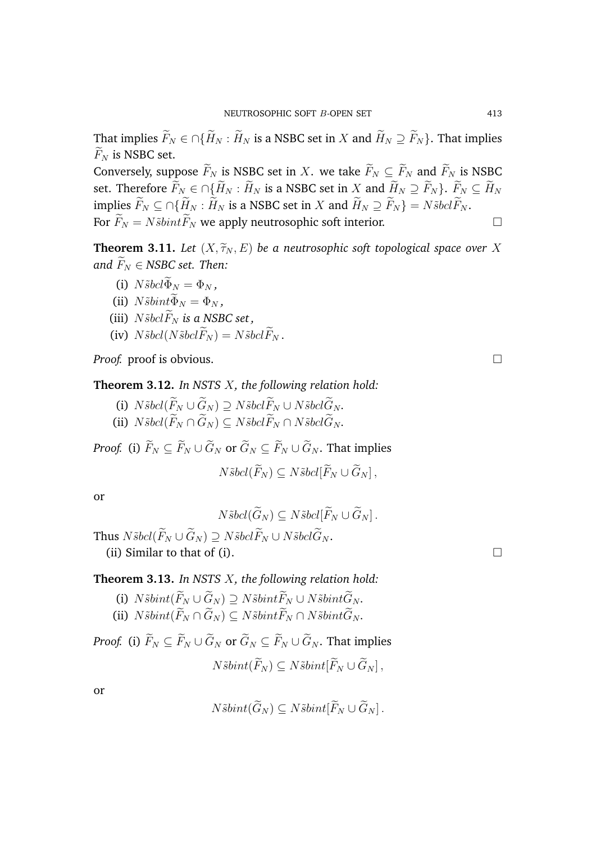That implies  $\widetilde{F}_N \in \bigcap \{ \widetilde{H}_N : \widetilde{H}_N \text{ is a NSBC set in } X \text{ and } \widetilde{H}_N \supseteq \widetilde{F}_N \}$ . That implies  $F_N$  is NSBC set.

Conversely, suppose  $\widetilde{F}_N$  is NSBC set in X. we take  $\widetilde{F}_N \subseteq \widetilde{F}_N$  and  $\widetilde{F}_N$  is NSBC set. Therefore  $\widetilde{F}_N \in \bigcap \{ \widetilde{H}_N : \widetilde{H}_N \text{ is a NSBC set in } X \text{ and } \widetilde{H}_N \supseteq \widetilde{F}_N \}$ .  $\widetilde{F}_N \subseteq \widetilde{H}_N$ implies  $\widetilde{F}_N \subseteq \bigcap \{\widetilde{H}_N : \widetilde{H}_N \text{ is a NSBC set in } X \text{ and } \widetilde{H}_N \supseteq \widetilde{F}_N \} = N \widetilde{s} bcl \widetilde{F}_N.$ For  $\widetilde{F}_N = N\widetilde{s}bint \widetilde{F}_N$  we apply neutrosophic soft interior.

**Theorem 3.11.** *Let*  $(X, \widetilde{\tau}_N, E)$  *be a neutrosophic soft topological space over* X *and*  $F_N \in NSBC$  *set. Then:* 

- (i)  $N\tilde{s}bcl\widetilde{\Phi}_N=\Phi_N$ ,
- (ii)  $N\tilde{s}bint\widetilde{\Phi}_N = \Phi_N$ ,
- (iii)  $N\tilde{s}bcl\widetilde{F}_N$  *is a NSBC set*,
- (iv)  $N\tilde{s}bcl(N\tilde{s}bcl\tilde{F}_N) = N\tilde{s}bcl\tilde{F}_N$ .

*Proof.* proof is obvious. □

**Theorem 3.12.** *In NSTS* X*, the following relation hold:*

- (i)  $N\tilde{s}bcl(\widetilde{F}_N \cup \widetilde{G}_N) \supset N\tilde{s}bcl\widetilde{F}_N \cup N\tilde{s}bcl\widetilde{G}_N$ .
- (ii)  $N\tilde{s}bel(\widetilde{F}_N \cap \widetilde{G}_N) \subseteq N\tilde{s}bel\widetilde{F}_N \cap N\tilde{s}bel\widetilde{G}_N$ .

*Proof.* (i)  $\widetilde{F}_N \subset \widetilde{F}_N \cup \widetilde{G}_N$  or  $\widetilde{G}_N \subset \widetilde{F}_N \cup \widetilde{G}_N$ . That implies  $N\tilde{s}bcl(\widetilde{F}_N) \subseteq N\tilde{s}bcl[\widetilde{F}_N \cup \widetilde{G}_N],$ 

or

$$
N\tilde{s}bcl(\widetilde{G}_N)\subseteq N\tilde{s}bcl[\widetilde{F}_N\cup \widetilde{G}_N].
$$

Thus  $N\tilde{s}bel(\widetilde{F}_N \cup \widetilde{G}_N) \supset N\tilde{s}bel\widetilde{F}_N \cup N\tilde{s}bel\widetilde{G}_N$ . (ii) Similar to that of (i).  $\Box$ 

# **Theorem 3.13.** *In NSTS* X*, the following relation hold:*

- (i)  $N\tilde{s}bint(\widetilde{F}_N \cup \widetilde{G}_N) \supseteq N\tilde{s}bint\widetilde{F}_N \cup N\tilde{s}bint\widetilde{G}_N$ .
- (ii)  $N\tilde{s}bint(\widetilde{F}_N \cap \widetilde{G}_N) \subseteq N\tilde{s}bint\widetilde{F}_N \cap N\tilde{s}bint\widetilde{G}_N$ .

*Proof.* (i)  $\widetilde{F}_N \subset \widetilde{F}_N \cup \widetilde{G}_N$  or  $\widetilde{G}_N \subset \widetilde{F}_N \cup \widetilde{G}_N$ . That implies  $N\tilde{s}bint(\widetilde{F}_N)\subset N\tilde{s}bint[\widetilde{F}_N\cup \widetilde{G}_N]$ ,

or

$$
N\tilde{s}bint(\widetilde{G}_N)\subseteq N\tilde{s}bint[\widetilde{F}_N\cup \widetilde{G}_N].
$$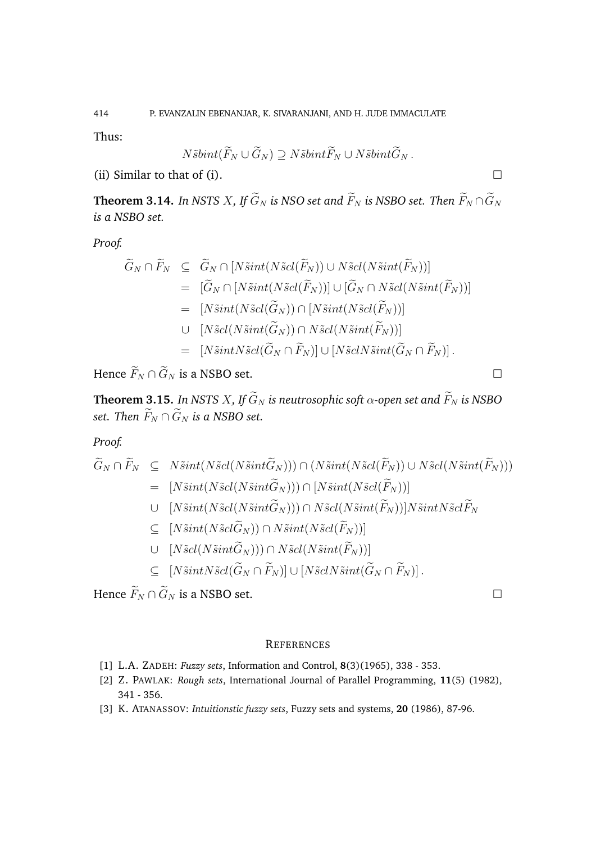Thus:

$$
N\tilde{s}bint(\widetilde{F}_N\cup \widetilde{G}_N)\supseteq N\tilde{s}bint\widetilde{F}_N\cup N\tilde{s}bint\widetilde{G}_N.
$$

(ii) Similar to that of (i).

**Theorem 3.14.** *In NSTS X, If*  $\widetilde{G}_N$  *is NSO set and*  $\widetilde{F}_N$  *is NSBO set. Then*  $\widetilde{F}_N \cap \widetilde{G}_N$ *is a NSBO set.*

*Proof.*

$$
\widetilde{G}_N \cap \widetilde{F}_N \subseteq \widetilde{G}_N \cap [N\widetilde{s}int(N\widetilde{s}cl(\widetilde{F}_N)) \cup N\widetilde{s}cl(N\widetilde{s}int(\widetilde{F}_N))]
$$
\n
$$
= [\widetilde{G}_N \cap [N\widetilde{s}int(N\widetilde{s}cl(\widetilde{F}_N))] \cup [\widetilde{G}_N \cap N\widetilde{s}cl(N\widetilde{s}int(\widetilde{F}_N))]
$$
\n
$$
= [N\widetilde{s}int(N\widetilde{s}cl(\widetilde{G}_N)) \cap [N\widetilde{s}int(N\widetilde{s}cl(\widetilde{F}_N))]
$$
\n
$$
\cup [N\widetilde{s}cl(N\widetilde{s}int(\widetilde{G}_N) \cap N\widetilde{s}cl(N\widetilde{s}int(\widetilde{F}_N))]
$$
\n
$$
= [N\widetilde{s}intN\widetilde{s}cl(\widetilde{G}_N \cap \widetilde{F}_N)] \cup [N\widetilde{s}clN\widetilde{s}int(\widetilde{G}_N \cap \widetilde{F}_N)].
$$

Hence  $\widetilde{F}_N \cap \widetilde{G}_N$  is a NSBO set.

**Theorem 3.15.** *In NSTS X, If*  $\widetilde{G}_N$  *is neutrosophic soft*  $\alpha$ -open set and  $\widetilde{F}_N$  *is NSBO set. Then*  $\widetilde{F}_N \cap \widetilde{G}_N$  *is a NSBO set.* 

*Proof.*

$$
\widetilde{G}_N \cap \widetilde{F}_N \subseteq N\widetilde{s}int(N\widetilde{s}cl(N\widetilde{s}int\widetilde{G}_N))) \cap (N\widetilde{s}int(N\widetilde{s}cl(\widetilde{F}_N)) \cup N\widetilde{s}cl(N\widetilde{s}int(\widetilde{F}_N)))
$$
\n
$$
= [N\widetilde{s}int(N\widetilde{s}cl(N\widetilde{s}int\widetilde{G}_N))) \cap [N\widetilde{s}int(N\widetilde{s}cl(\widetilde{F}_N))]
$$
\n
$$
\cup [N\widetilde{s}int(N\widetilde{s}cl(N\widetilde{s}int\widetilde{G}_N))) \cap N\widetilde{s}cl(N\widetilde{s}int(\widetilde{F}_N))]N\widetilde{s}intN\widetilde{s}cl\widetilde{F}_N
$$
\n
$$
\subseteq [N\widetilde{s}int(N\widetilde{s}cl(\widetilde{G}_N)) \cap N\widetilde{s}cl(N\widetilde{s}int(\widetilde{F}_N))]
$$
\n
$$
\subseteq [N\widetilde{s}intN\widetilde{s}cl(\widetilde{G}_N \cap \widetilde{F}_N)] \cup [N\widetilde{s}clN\widetilde{s}int(\widetilde{G}_N \cap \widetilde{F}_N)].
$$

Hence  $\widetilde{F}_N \cap \widetilde{G}_N$  is a NSBO set.

### **REFERENCES**

- [1] L.A. ZADEH: *Fuzzy sets*, Information and Control, **8**(3)(1965), 338 353.
- [2] Z. PAWLAK: *Rough sets*, International Journal of Parallel Programming, **11**(5) (1982), 341 - 356.
- [3] K. ATANASSOV: *Intuitionstic fuzzy sets*, Fuzzy sets and systems, **20** (1986), 87-96.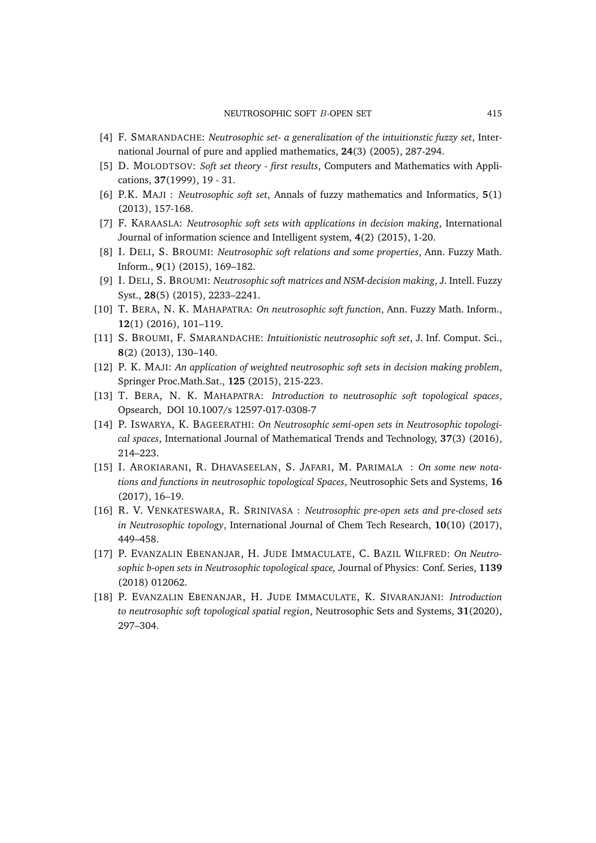- [4] F. SMARANDACHE: *Neutrosophic set- a generalization of the intuitionstic fuzzy set*, International Journal of pure and applied mathematics, **24**(3) (2005), 287-294.
- [5] D. MOLODTSOV: *Soft set theory first results*, Computers and Mathematics with Applications, **37**(1999), 19 - 31.
- [6] P.K. MAJI : *Neutrosophic soft set*, Annals of fuzzy mathematics and Informatics, **5**(1) (2013), 157-168.
- [7] F. KARAASLA: *Neutrosophic soft sets with applications in decision making*, International Journal of information science and Intelligent system, **4**(2) (2015), 1-20.
- [8] I. DELI, S. BROUMI: *Neutrosophic soft relations and some properties*, Ann. Fuzzy Math. Inform., **9**(1) (2015), 169–182.
- [9] I. DELI, S. BROUMI: *Neutrosophic soft matrices and NSM-decision making*, J. Intell. Fuzzy Syst., **28**(5) (2015), 2233–2241.
- [10] T. BERA, N. K. MAHAPATRA: *On neutrosophic soft function*, Ann. Fuzzy Math. Inform., **12**(1) (2016), 101–119.
- [11] S. BROUMI, F. SMARANDACHE: *Intuitionistic neutrosophic soft set*, J. Inf. Comput. Sci., **8**(2) (2013), 130–140.
- [12] P. K. MAJI: *An application of weighted neutrosophic soft sets in decision making problem*, Springer Proc.Math.Sat., **125** (2015), 215-223.
- [13] T. BERA, N. K. MAHAPATRA: *Introduction to neutrosophic soft topological spaces*, Opsearch, DOI 10.1007/s 12597-017-0308-7
- [14] P. ISWARYA, K. BAGEERATHI: *On Neutrosophic semi-open sets in Neutrosophic topological spaces*, International Journal of Mathematical Trends and Technology, **37**(3) (2016), 214–223.
- [15] I. AROKIARANI, R. DHAVASEELAN, S. JAFARI, M. PARIMALA : *On some new notations and functions in neutrosophic topological Spaces*, Neutrosophic Sets and Systems, **16** (2017), 16–19.
- [16] R. V. VENKATESWARA, R. SRINIVASA : *Neutrosophic pre-open sets and pre-closed sets in Neutrosophic topology*, International Journal of Chem Tech Research, **10**(10) (2017), 449–458.
- [17] P. EVANZALIN EBENANJAR, H. JUDE IMMACULATE, C. BAZIL WILFRED: *On Neutrosophic b-open sets in Neutrosophic topological space,* Journal of Physics: Conf. Series, **1139** (2018) 012062.
- [18] P. EVANZALIN EBENANJAR, H. JUDE IMMACULATE, K. SIVARANJANI: *Introduction to neutrosophic soft topological spatial region*, Neutrosophic Sets and Systems, **31**(2020), 297–304.